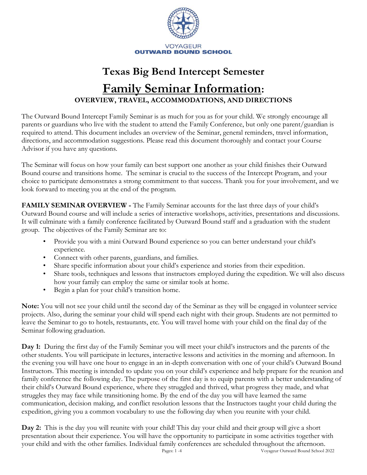

# **Texas Big Bend Intercept Semester Family Seminar Information: OVERVIEW, TRAVEL, ACCOMMODATIONS, AND DIRECTIONS**

The Outward Bound Intercept Family Seminar is as much for you as for your child. We strongly encourage all parents or guardians who live with the student to attend the Family Conference, but only one parent/guardian is required to attend. This document includes an overview of the Seminar, general reminders, travel information, directions, and accommodation suggestions. Please read this document thoroughly and contact your Course Advisor if you have any questions.

The Seminar will focus on how your family can best support one another as your child finishes their Outward Bound course and transitions home. The seminar is crucial to the success of the Intercept Program, and your choice to participate demonstrates a strong commitment to that success. Thank you for your involvement, and we look forward to meeting you at the end of the program.

**FAMILY SEMINAR OVERVIEW -** The Family Seminar accounts for the last three days of your child's Outward Bound course and will include a series of interactive workshops, activities, presentations and discussions. It will culminate with a family conference facilitated by Outward Bound staff and a graduation with the student group. The objectives of the Family Seminar are to:

- Provide you with a mini Outward Bound experience so you can better understand your child's experience.
- Connect with other parents, guardians, and families.
- Share specific information about your child's experience and stories from their expedition.
- Share tools, techniques and lessons that instructors employed during the expedition. We will also discuss how your family can employ the same or similar tools at home.
- Begin a plan for your child's transition home.

**Note:** You will not see your child until the second day of the Seminar as they will be engaged in volunteer service projects. Also, during the seminar your child will spend each night with their group. Students are not permitted to leave the Seminar to go to hotels, restaurants, etc. You will travel home with your child on the final day of the Seminar following graduation.

**Day 1:** During the first day of the Family Seminar you will meet your child's instructors and the parents of the other students. You will participate in lectures, interactive lessons and activities in the morning and afternoon. In the evening you will have one hour to engage in an in-depth conversation with one of your child's Outward Bound Instructors. This meeting is intended to update you on your child's experience and help prepare for the reunion and family conference the following day. The purpose of the first day is to equip parents with a better understanding of their child's Outward Bound experience, where they struggled and thrived, what progress they made, and what struggles they may face while transitioning home. By the end of the day you will have learned the same communication, decision making, and conflict resolution lessons that the Instructors taught your child during the expedition, giving you a common vocabulary to use the following day when you reunite with your child.

Pages: 1 -4 Voyageur Outward Bound School 2022 **Day 2:** This is the day you will reunite with your child! This day your child and their group will give a short presentation about their experience. You will have the opportunity to participate in some activities together with your child and with the other families. Individual family conferences are scheduled throughout the afternoon.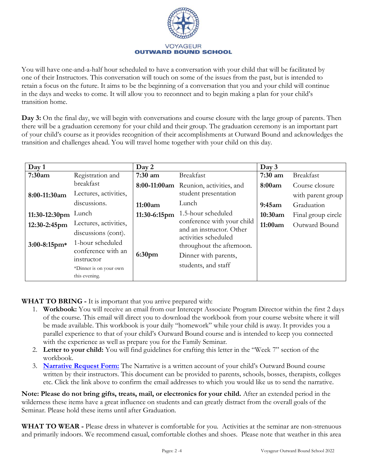

You will have one-and-a-half hour scheduled to have a conversation with your child that will be facilitated by one of their Instructors. This conversation will touch on some of the issues from the past, but is intended to retain a focus on the future. It aims to be the beginning of a conversation that you and your child will continue in the days and weeks to come. It will allow you to reconnect and to begin making a plan for your child's transition home.

**Day 3:** On the final day, we will begin with conversations and course closure with the large group of parents. Then there will be a graduation ceremony for your child and their group. The graduation ceremony is an important part of your child's course as it provides recognition of their accomplishments at Outward Bound and acknowledges the transition and challenges ahead. You will travel home together with your child on this day.

| Day 1           |                        | Day 2              |                                                  | Day 3     |                    |
|-----------------|------------------------|--------------------|--------------------------------------------------|-----------|--------------------|
| 7:30am          | Registration and       | $7:30$ am          | <b>Breakfast</b>                                 | $7:30$ am | <b>Breakfast</b>   |
|                 | breakfast              |                    | 8:00-11:00am Reunion, activities, and            | 8:00am    | Course closure     |
| 8:00-11:30am    | Lectures, activities,  |                    | student presentation                             |           | with parent group  |
|                 | discussions.           | 11:00am            | Lunch                                            | 9:45am    | Graduation         |
| 11:30-12:30pm   | Lunch                  | 11:30-6:15pm       | 1.5-hour scheduled                               | 10:30am   | Final group circle |
| 12:30-2:45pm    | Lectures, activities,  |                    | conference with your child                       | 11:00am   | Outward Bound      |
|                 | discussions (cont).    |                    | and an instructor. Other<br>activities scheduled |           |                    |
| $3:00-8:15$ pm* | 1-hour scheduled       |                    | throughout the afternoon.                        |           |                    |
|                 | conference with an     | 6:30 <sub>pm</sub> | Dinner with parents,                             |           |                    |
|                 | instructor             |                    |                                                  |           |                    |
|                 | *Dinner is on your own |                    | students, and staff                              |           |                    |
|                 | this evening.          |                    |                                                  |           |                    |

**WHAT TO BRING -** It is important that you arrive prepared with:

- 1. **Workbook:** You will receive an email from our Intercept Associate Program Director within the first 2 days of the course. This email will direct you to download the workbook from your course website where it will be made available. This workbook is your daily "homework" while your child is away. It provides you a parallel experience to that of your child's Outward Bound course and is intended to keep you connected with the experience as well as prepare you for the Family Seminar.
- 2. **Letter to your child:** You will find guidelines for crafting this letter in the "Week 7" section of the workbook.
- 3. **[Narrative Request Form:](https://forms.gle/vwb8D7ofR4AjfWUH8)** The Narrative is a written account of your child's Outward Bound course written by their instructors. This document can be provided to parents, schools, bosses, therapists, colleges etc. Click the link above to confirm the email addresses to which you would like us to send the narrative.

**Note: Please do not bring gifts, treats, mail, or electronics for your child.** After an extended period in the wilderness these items have a great influence on students and can greatly distract from the overall goals of the Seminar. Please hold these items until after Graduation.

**WHAT TO WEAR -** Please dress in whatever is comfortable for you. Activities at the seminar are non-strenuous and primarily indoors. We recommend casual, comfortable clothes and shoes. Please note that weather in this area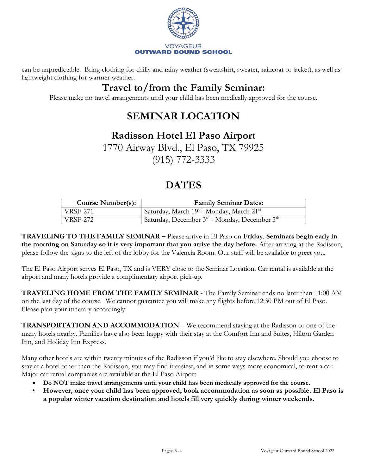

can be unpredictable. Bring clothing for chilly and rainy weather (sweatshirt, sweater, raincoat or jacket), as well as lightweight clothing for warmer weather.

### **Travel to/from the Family Seminar:**

Please make no travel arrangements until your child has been medically approved for the course.

## **SEMINAR LOCATION**

#### **Radisson Hotel El Paso Airport**

1770 Airway Blvd., El Paso, TX 79925 (915) 772-3333

#### **DATES**

| <b>Course Number(s):</b> | <b>Family Seminar Dates:</b>                                     |
|--------------------------|------------------------------------------------------------------|
| ' VRSF-271               | Saturday, March 19 <sup>th</sup> -Monday, March 21 <sup>st</sup> |
| VRSF-272                 | Saturday, December 3rd - Monday, December 5 <sup>th</sup>        |

**TRAVELING TO THE FAMILY SEMINAR –** Please arrive in El Paso on **Friday**. **Seminars begin early in the morning on Saturday so it is very important that you arrive the day before.** After arriving at the Radisson, please follow the signs to the left of the lobby for the Valencia Room. Our staff will be available to greet you.

The El Paso Airport serves El Paso, TX and is VERY close to the Seminar Location. Car rental is available at the airport and many hotels provide a complimentary airport pick-up.

**TRAVELING HOME FROM THE FAMILY SEMINAR -** The Family Seminar ends no later than 11:00 AM on the last day of the course. We cannot guarantee you will make any flights before 12:30 PM out of El Paso. Please plan your itinerary accordingly.

**TRANSPORTATION AND ACCOMMODATION** – We recommend staying at the Radisson or one of the many hotels nearby. Families have also been happy with their stay at the Comfort Inn and Suites, Hilton Garden Inn, and Holiday Inn Express.

Many other hotels are within twenty minutes of the Radisson if you'd like to stay elsewhere. Should you choose to stay at a hotel other than the Radisson, you may find it easiest, and in some ways more economical, to rent a car. Major car rental companies are available at the El Paso Airport.

- **Do NOT make travel arrangements until your child has been medically approved for the course.**
- **However, once your child has been approved, book accommodation as soon as possible. El Paso is a popular winter vacation destination and hotels fill very quickly during winter weekends.**